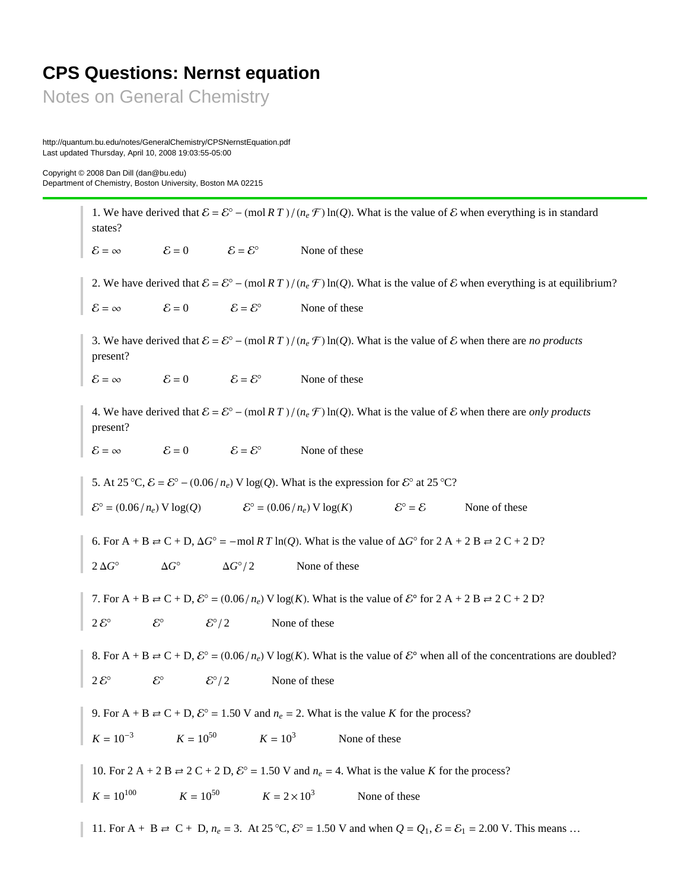## **CPS Questions: Nernst equation**

Notes on General Chemistry

http://quantum.bu.edu/notes/GeneralChemistry/CPSNernstEquation.pdf Last updated Thursday, April 10, 2008 19:03:55-05:00

Copyright © 2008 Dan Dill (dan@bu.edu) Department of Chemistry, Boston University, Boston MA 02215

> 1. We have derived that  $\mathcal{E} = \mathcal{E}^{\circ} - (\text{mol } RT) / (n_e \mathcal{F}) \ln(Q)$ . What is the value of  $\mathcal{E}$  when everything is in standard states?  $\mathcal{E} = \infty$   $\mathcal{E} = 0$   $\mathcal{E} = \mathcal{E}^{\circ}$  None of these 2. We have derived that  $\mathcal{E} = \mathcal{E}^{\circ} - (\text{mol } RT) / (n_e \mathcal{F}) \ln(Q)$ . What is the value of  $\mathcal{E}$  when everything is at equilibrium?  $\mathcal{E} = \infty$   $\mathcal{E} = 0$   $\mathcal{E} = \mathcal{E}^{\circ}$  None of these 3. We have derived that  $\mathcal{E} = \mathcal{E}^{\circ} - (\text{mol } RT) / (n_e \mathcal{F}) \ln(Q)$ . What is the value of  $\mathcal{E}$  when there are *no products* present?  $\mathcal{E} = \infty$   $\mathcal{E} = 0$   $\mathcal{E} = \mathcal{E}^{\circ}$  None of these 4. We have derived that  $\mathcal{E} = \mathcal{E}^{\circ} - (\text{mol } RT) / (n_e \mathcal{F}) \ln(Q)$ . What is the value of  $\mathcal E$  when there are *only products* present?  $\mathcal{E} = \infty$   $\mathcal{E} = 0$   $\mathcal{E} = \mathcal{E}^{\circ}$  None of these 5. At 25 °C,  $\mathcal{E} = \mathcal{E}^{\circ} - (0.06/n_e) \text{ V log}(Q)$ . What is the expression for  $\mathcal{E}^{\circ}$  at 25 °C?  $\mathcal{E}^{\circ} = (0.06/n_e) \text{ V log}(Q)$   $\mathcal{E}^{\circ} = (0.06/n_e) \text{ V log}(K)$   $\mathcal{E}^{\circ} = \mathcal{E}$  None of these 6. For  $A + B \rightleftarrows C + D$ ,  $\Delta G^{\circ} = - \text{mol } R T \ln(Q)$ . What is the value of  $\Delta G^{\circ}$  for  $2A + 2B \rightleftarrows 2C + 2D$ ?  $2 \Delta G^{\circ}$   $\Delta G^{\circ}/2$  None of these 7. For A + B  $\rightleftharpoons$  C + D,  $\mathcal{E}^{\circ}$  = (0.06/ $n_e$ ) V log(K). What is the value of  $\mathcal{E}^{\circ}$  for 2 A + 2 B  $\rightleftharpoons$  2 C + 2 D?  $2\mathcal{E}^{\circ}$   $\mathcal{E}^{\circ}/2$  None of these 8. For  $A + B \rightleftarrows C + D$ ,  $\mathcal{E}^{\circ} = (0.06 / n_e)$  V log(K). What is the value of  $\mathcal{E}^{\circ}$  when all of the concentrations are doubled?  $2\mathcal{E}^{\circ}$   $\mathcal{E}^{\circ}/2$  None of these 9. For A + B  $\rightleftharpoons$  C + D,  $\mathcal{E}^{\circ}$  = 1.50 V and  $n_e$  = 2. What is the value *K* for the process?  $K = 10^{-3}$  $K = 10^{50}$   $K = 10^3$  None of these 10. For 2 A + 2 B  $\rightleftharpoons$  2 C + 2 D,  $\mathcal{E}^{\circ}$  = 1.50 V and  $n_e$  = 4. What is the value *K* for the process?  $K = 10^{100}$   $K = 10^{50}$   $K = 2 \times 10^3$  None of these 11. For A + B  $\rightleftharpoons$  C + D,  $n_e = 3$ . At 25 °C,  $\mathcal{E}^{\circ} = 1.50$  V and when  $Q = Q_1$ ,  $\mathcal{E} = \mathcal{E}_1 = 2.00$  V. This means ...